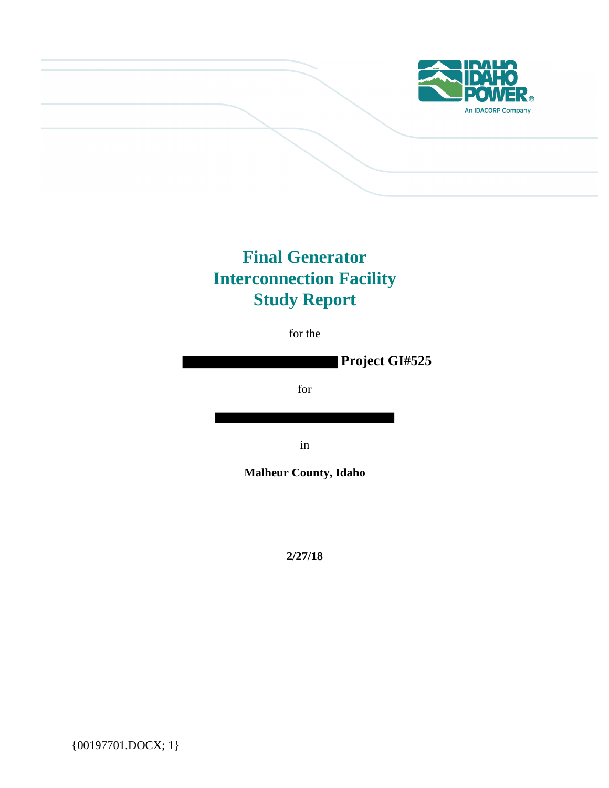

# **Final Generator Interconnection Facility Study Report**

for the

**Project GI#525**

for

in

**Malheur County, Idaho**

**2/27/18**

{00197701.DOCX; 1}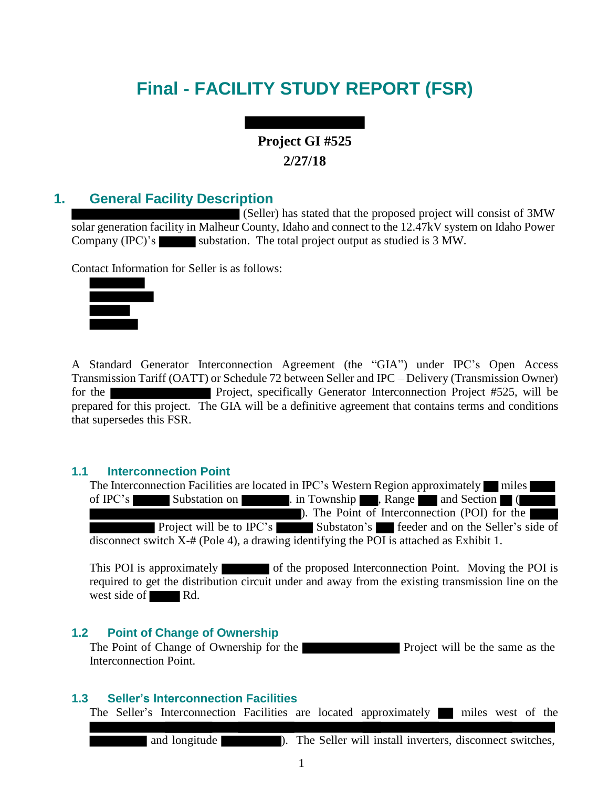# **Final - FACILITY STUDY REPORT (FSR)**

## **Project GI #525 2/27/18**

## **1. General Facility Description**

(Seller) has stated that the proposed project will consist of 3MW solar generation facility in Malheur County, Idaho and connect to the 12.47kV system on Idaho Power Company (IPC)'s substation. The total project output as studied is 3 MW.

Contact Information for Seller is as follows:



A Standard Generator Interconnection Agreement (the "GIA") under IPC's Open Access Transmission Tariff (OATT) or Schedule 72 between Seller and IPC – Delivery (Transmission Owner) for the Project, specifically Generator Interconnection Project #525, will be prepared for this project. The GIA will be a definitive agreement that contains terms and conditions that supersedes this FSR.

#### **1.1 Interconnection Point**

The Interconnection Facilities are located in IPC's Western Region approximately miles of IPC's Substation on . in Township , Range and Section ( ). The Point of Interconnection (POI) for the Project will be to IPC's Substaton's feeder and on the Seller's side of disconnect switch X-# (Pole 4), a drawing identifying the POI is attached as Exhibit 1.

This POI is approximately of the proposed Interconnection Point. Moving the POI is required to get the distribution circuit under and away from the existing transmission line on the west side of Rd.

#### **1.2 Point of Change of Ownership**

The Point of Change of Ownership for the **Project** will be the same as the Interconnection Point.

#### **1.3 Seller's Interconnection Facilities**

The Seller's Interconnection Facilities are located approximately miles west of the

and longitude **and install install inverters**, disconnect switches,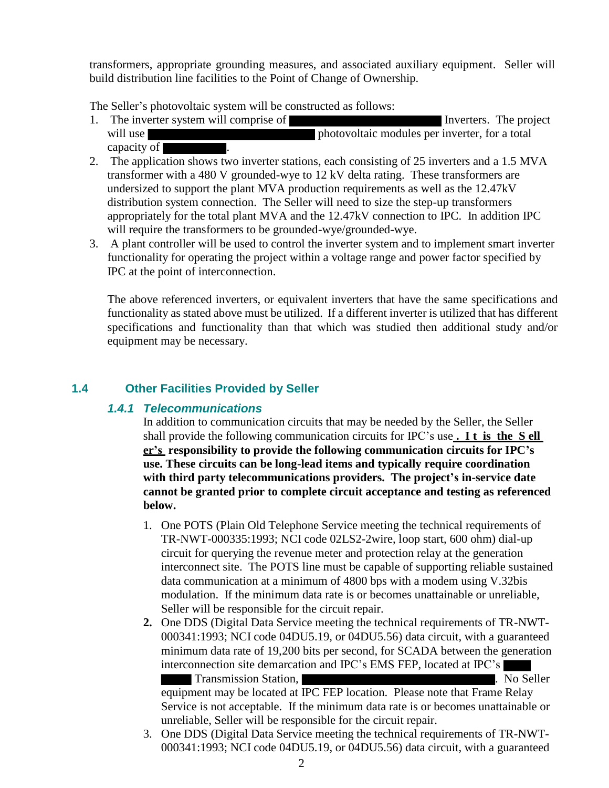transformers, appropriate grounding measures, and associated auxiliary equipment. Seller will build distribution line facilities to the Point of Change of Ownership.

The Seller's photovoltaic system will be constructed as follows:

- 1. The inverter system will comprise of **Inverters**. The project will use photovoltaic modules per inverter, for a total capacity of .
- 2. The application shows two inverter stations, each consisting of 25 inverters and a 1.5 MVA transformer with a 480 V grounded-wye to 12 kV delta rating. These transformers are undersized to support the plant MVA production requirements as well as the 12.47kV distribution system connection. The Seller will need to size the step-up transformers appropriately for the total plant MVA and the 12.47kV connection to IPC. In addition IPC will require the transformers to be grounded-wye/grounded-wye.
- 3. A plant controller will be used to control the inverter system and to implement smart inverter functionality for operating the project within a voltage range and power factor specified by IPC at the point of interconnection.

The above referenced inverters, or equivalent inverters that have the same specifications and functionality as stated above must be utilized. If a different inverter is utilized that has different specifications and functionality than that which was studied then additional study and/or equipment may be necessary.

### **1.4 Other Facilities Provided by Seller**

#### *1.4.1 Telecommunications*

In addition to communication circuits that may be needed by the Seller, the Seller shall provide the following communication circuits for IPC's use **. I t is the S ell er's responsibility to provide the following communication circuits for IPC's use. These circuits can be long-lead items and typically require coordination with third party telecommunications providers. The project's in-service date cannot be granted prior to complete circuit acceptance and testing as referenced below.**

- 1. One POTS (Plain Old Telephone Service meeting the technical requirements of TR-NWT-000335:1993; NCI code 02LS2-2wire, loop start, 600 ohm) dial-up circuit for querying the revenue meter and protection relay at the generation interconnect site. The POTS line must be capable of supporting reliable sustained data communication at a minimum of 4800 bps with a modem using V.32bis modulation. If the minimum data rate is or becomes unattainable or unreliable, Seller will be responsible for the circuit repair.
- **2.** One DDS (Digital Data Service meeting the technical requirements of TR-NWT-000341:1993; NCI code 04DU5.19, or 04DU5.56) data circuit, with a guaranteed minimum data rate of 19,200 bits per second, for SCADA between the generation interconnection site demarcation and IPC's EMS FEP, located at IPC's

**Transmission Station, The Contract Station Station, The Contract Station Station Station, Inc. Assume Station** equipment may be located at IPC FEP location. Please note that Frame Relay Service is not acceptable. If the minimum data rate is or becomes unattainable or unreliable, Seller will be responsible for the circuit repair.

3. One DDS (Digital Data Service meeting the technical requirements of TR-NWT-000341:1993; NCI code 04DU5.19, or 04DU5.56) data circuit, with a guaranteed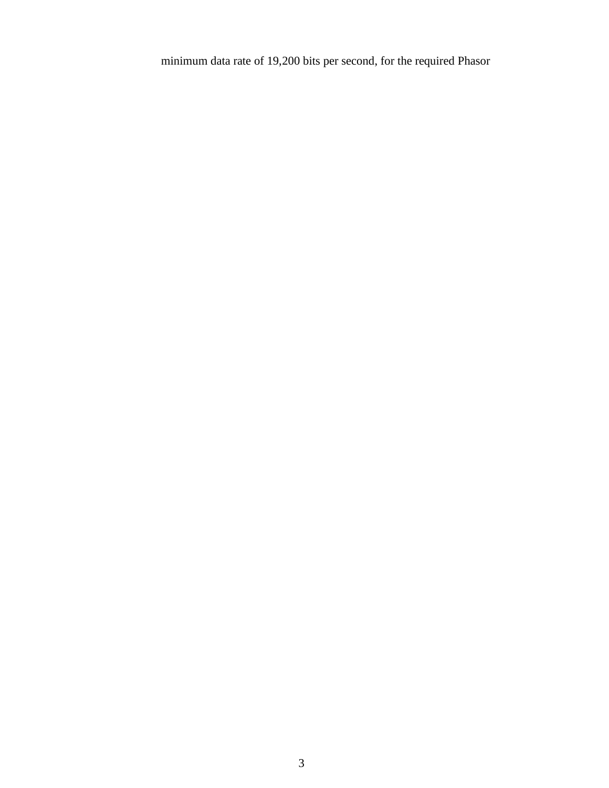minimum data rate of 19,200 bits per second, for the required Phasor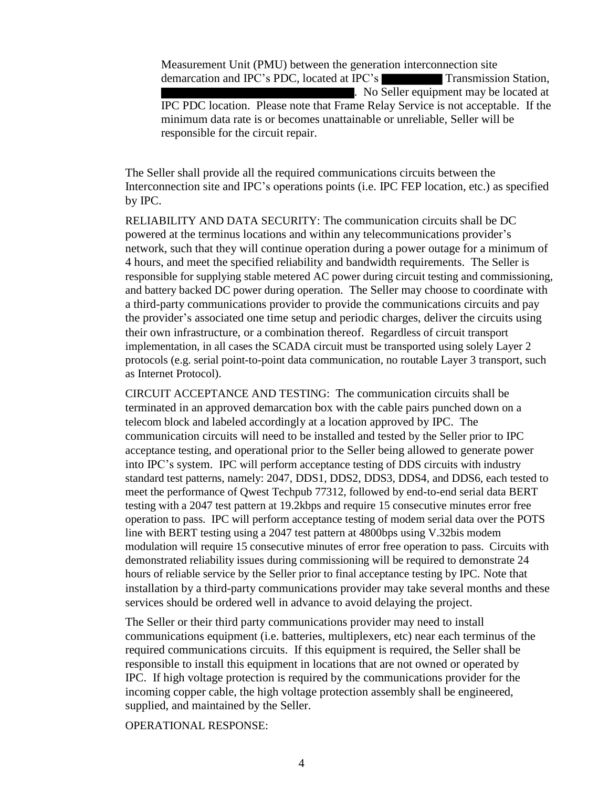Measurement Unit (PMU) between the generation interconnection site demarcation and IPC's PDC, located at IPC's Transmission Station, . No Seller equipment may be located at IPC PDC location. Please note that Frame Relay Service is not acceptable. If the minimum data rate is or becomes unattainable or unreliable, Seller will be responsible for the circuit repair.

The Seller shall provide all the required communications circuits between the Interconnection site and IPC's operations points (i.e. IPC FEP location, etc.) as specified by IPC.

RELIABILITY AND DATA SECURITY: The communication circuits shall be DC powered at the terminus locations and within any telecommunications provider's network, such that they will continue operation during a power outage for a minimum of 4 hours, and meet the specified reliability and bandwidth requirements. The Seller is responsible for supplying stable metered AC power during circuit testing and commissioning, and battery backed DC power during operation. The Seller may choose to coordinate with a third-party communications provider to provide the communications circuits and pay the provider's associated one time setup and periodic charges, deliver the circuits using their own infrastructure, or a combination thereof. Regardless of circuit transport implementation, in all cases the SCADA circuit must be transported using solely Layer 2 protocols (e.g. serial point-to-point data communication, no routable Layer 3 transport, such as Internet Protocol).

CIRCUIT ACCEPTANCE AND TESTING: The communication circuits shall be terminated in an approved demarcation box with the cable pairs punched down on a telecom block and labeled accordingly at a location approved by IPC. The communication circuits will need to be installed and tested by the Seller prior to IPC acceptance testing, and operational prior to the Seller being allowed to generate power into IPC's system. IPC will perform acceptance testing of DDS circuits with industry standard test patterns, namely: 2047, DDS1, DDS2, DDS3, DDS4, and DDS6, each tested to meet the performance of Qwest Techpub 77312, followed by end-to-end serial data BERT testing with a 2047 test pattern at 19.2kbps and require 15 consecutive minutes error free operation to pass. IPC will perform acceptance testing of modem serial data over the POTS line with BERT testing using a 2047 test pattern at 4800bps using V.32bis modem modulation will require 15 consecutive minutes of error free operation to pass. Circuits with demonstrated reliability issues during commissioning will be required to demonstrate 24 hours of reliable service by the Seller prior to final acceptance testing by IPC. Note that installation by a third-party communications provider may take several months and these services should be ordered well in advance to avoid delaying the project.

The Seller or their third party communications provider may need to install communications equipment (i.e. batteries, multiplexers, etc) near each terminus of the required communications circuits. If this equipment is required, the Seller shall be responsible to install this equipment in locations that are not owned or operated by IPC. If high voltage protection is required by the communications provider for the incoming copper cable, the high voltage protection assembly shall be engineered, supplied, and maintained by the Seller.

OPERATIONAL RESPONSE: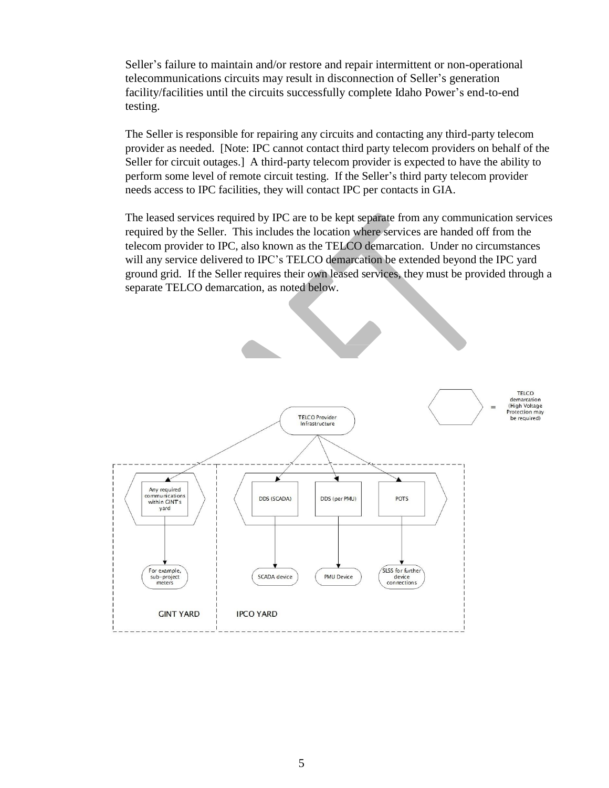Seller's failure to maintain and/or restore and repair intermittent or non-operational telecommunications circuits may result in disconnection of Seller's generation facility/facilities until the circuits successfully complete Idaho Power's end-to-end testing.

The Seller is responsible for repairing any circuits and contacting any third-party telecom provider as needed. [Note: IPC cannot contact third party telecom providers on behalf of the Seller for circuit outages.] A third-party telecom provider is expected to have the ability to perform some level of remote circuit testing. If the Seller's third party telecom provider needs access to IPC facilities, they will contact IPC per contacts in GIA.

The leased services required by IPC are to be kept separate from any communication services required by the Seller. This includes the location where services are handed off from the telecom provider to IPC, also known as the TELCO demarcation. Under no circumstances will any service delivered to IPC's TELCO demarcation be extended beyond the IPC yard ground grid. If the Seller requires their own leased services, they must be provided through a separate TELCO demarcation, as noted below.

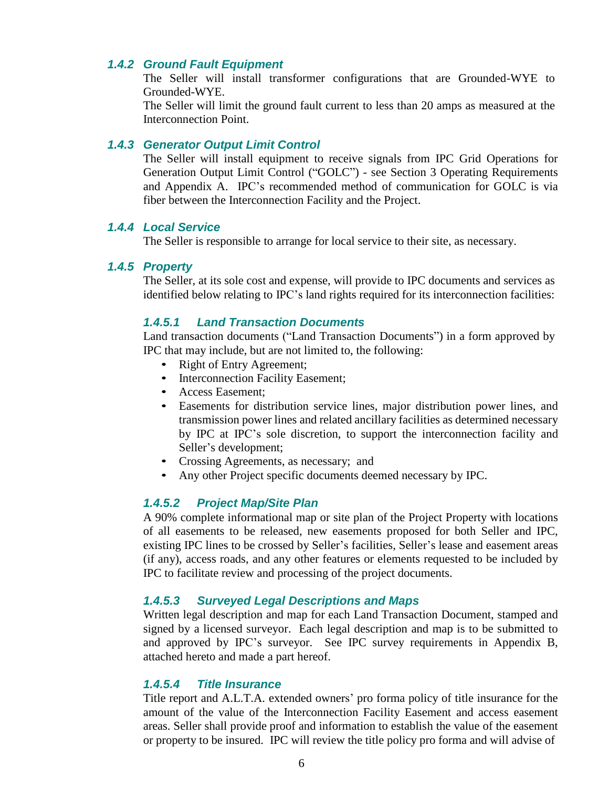#### *1.4.2 Ground Fault Equipment*

The Seller will install transformer configurations that are Grounded-WYE to Grounded-WYE.

The Seller will limit the ground fault current to less than 20 amps as measured at the Interconnection Point.

#### *1.4.3 Generator Output Limit Control*

The Seller will install equipment to receive signals from IPC Grid Operations for Generation Output Limit Control ("GOLC") - see Section 3 Operating Requirements and Appendix A. IPC's recommended method of communication for GOLC is via fiber between the Interconnection Facility and the Project.

#### *1.4.4 Local Service*

The Seller is responsible to arrange for local service to their site, as necessary.

#### *1.4.5 Property*

The Seller, at its sole cost and expense, will provide to IPC documents and services as identified below relating to IPC's land rights required for its interconnection facilities:

#### *1.4.5.1 Land Transaction Documents*

Land transaction documents ("Land Transaction Documents") in a form approved by IPC that may include, but are not limited to, the following:

- Right of Entry Agreement;
- Interconnection Facility Easement;
- Access Easement;
- Easements for distribution service lines, major distribution power lines, and transmission power lines and related ancillary facilities as determined necessary by IPC at IPC's sole discretion, to support the interconnection facility and Seller's development;
- Crossing Agreements, as necessary; and
- Any other Project specific documents deemed necessary by IPC.

#### *1.4.5.2 Project Map/Site Plan*

A 90% complete informational map or site plan of the Project Property with locations of all easements to be released, new easements proposed for both Seller and IPC, existing IPC lines to be crossed by Seller's facilities, Seller's lease and easement areas (if any), access roads, and any other features or elements requested to be included by IPC to facilitate review and processing of the project documents.

#### *1.4.5.3 Surveyed Legal Descriptions and Maps*

Written legal description and map for each Land Transaction Document, stamped and signed by a licensed surveyor. Each legal description and map is to be submitted to and approved by IPC's surveyor. See IPC survey requirements in Appendix B, attached hereto and made a part hereof.

#### *1.4.5.4 Title Insurance*

Title report and A.L.T.A. extended owners' pro forma policy of title insurance for the amount of the value of the Interconnection Facility Easement and access easement areas. Seller shall provide proof and information to establish the value of the easement or property to be insured. IPC will review the title policy pro forma and will advise of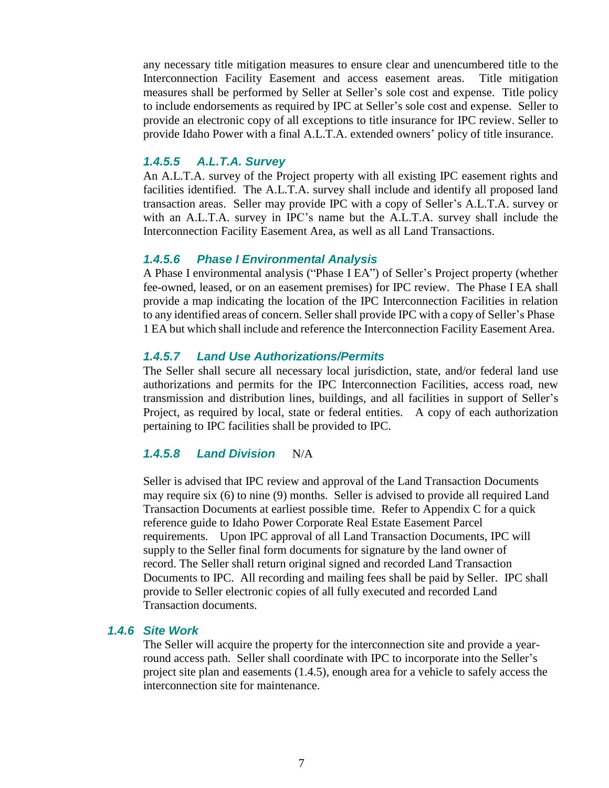any necessary title mitigation measures to ensure clear and unencumbered title to the Interconnection Facility Easement and access easement areas. Title mitigation measures shall be performed by Seller at Seller's sole cost and expense. Title policy to include endorsements as required by IPC at Seller's sole cost and expense. Seller to provide an electronic copy of all exceptions to title insurance for IPC review. Seller to provide Idaho Power with a final A.L.T.A. extended owners' policy of title insurance.

#### *1.4.5.5 A.L.T.A. Survey*

An A.L.T.A. survey of the Project property with all existing IPC easement rights and facilities identified. The A.L.T.A. survey shall include and identify all proposed land transaction areas. Seller may provide IPC with a copy of Seller's A.L.T.A. survey or with an A.L.T.A. survey in IPC's name but the A.L.T.A. survey shall include the Interconnection Facility Easement Area, as well as all Land Transactions.

#### *1.4.5.6 Phase I Environmental Analysis*

A Phase I environmental analysis ("Phase I EA") of Seller's Project property (whether fee-owned, leased, or on an easement premises) for IPC review. The Phase I EA shall provide a map indicating the location of the IPC Interconnection Facilities in relation to any identified areas of concern. Seller shall provide IPC with a copy of Seller's Phase 1 EA but which shall include and reference the Interconnection Facility Easement Area.

#### *1.4.5.7 Land Use Authorizations/Permits*

The Seller shall secure all necessary local jurisdiction, state, and/or federal land use authorizations and permits for the IPC Interconnection Facilities, access road, new transmission and distribution lines, buildings, and all facilities in support of Seller's Project, as required by local, state or federal entities. A copy of each authorization pertaining to IPC facilities shall be provided to IPC.

#### *1.4.5.8 Land Division* N/A

Seller is advised that IPC review and approval of the Land Transaction Documents may require six (6) to nine (9) months. Seller is advised to provide all required Land Transaction Documents at earliest possible time. Refer to Appendix C for a quick reference guide to Idaho Power Corporate Real Estate Easement Parcel requirements. Upon IPC approval of all Land Transaction Documents, IPC will supply to the Seller final form documents for signature by the land owner of record. The Seller shall return original signed and recorded Land Transaction Documents to IPC. All recording and mailing fees shall be paid by Seller. IPC shall provide to Seller electronic copies of all fully executed and recorded Land Transaction documents.

#### *1.4.6 Site Work*

The Seller will acquire the property for the interconnection site and provide a yearround access path. Seller shall coordinate with IPC to incorporate into the Seller's project site plan and easements (1.4.5), enough area for a vehicle to safely access the interconnection site for maintenance.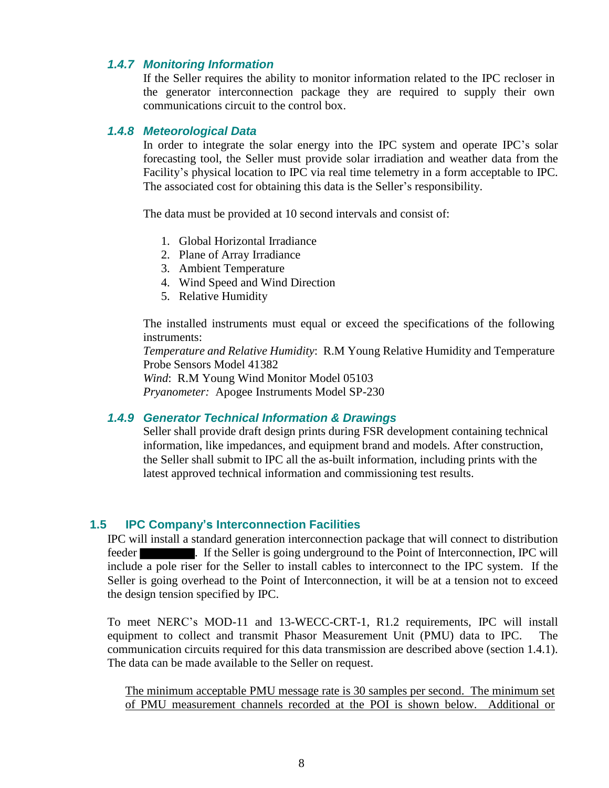#### *1.4.7 Monitoring Information*

If the Seller requires the ability to monitor information related to the IPC recloser in the generator interconnection package they are required to supply their own communications circuit to the control box.

#### *1.4.8 Meteorological Data*

In order to integrate the solar energy into the IPC system and operate IPC's solar forecasting tool, the Seller must provide solar irradiation and weather data from the Facility's physical location to IPC via real time telemetry in a form acceptable to IPC. The associated cost for obtaining this data is the Seller's responsibility.

The data must be provided at 10 second intervals and consist of:

- 1. Global Horizontal Irradiance
- 2. Plane of Array Irradiance
- 3. Ambient Temperature
- 4. Wind Speed and Wind Direction
- 5. Relative Humidity

The installed instruments must equal or exceed the specifications of the following instruments:

*Temperature and Relative Humidity*: R.M Young Relative Humidity and Temperature Probe Sensors Model 41382

*Wind*: R.M Young Wind Monitor Model 05103

*Pryanometer:* Apogee Instruments Model SP-230

#### *1.4.9 Generator Technical Information & Drawings*

Seller shall provide draft design prints during FSR development containing technical information, like impedances, and equipment brand and models. After construction, the Seller shall submit to IPC all the as-built information, including prints with the latest approved technical information and commissioning test results.

#### **1.5 IPC Company's Interconnection Facilities**

IPC will install a standard generation interconnection package that will connect to distribution feeder **. If the Seller is going underground to the Point of Interconnection, IPC will** include a pole riser for the Seller to install cables to interconnect to the IPC system. If the Seller is going overhead to the Point of Interconnection, it will be at a tension not to exceed the design tension specified by IPC.

To meet NERC's MOD-11 and 13-WECC-CRT-1, R1.2 requirements, IPC will install equipment to collect and transmit Phasor Measurement Unit (PMU) data to IPC. The communication circuits required for this data transmission are described above (section 1.4.1). The data can be made available to the Seller on request.

The minimum acceptable PMU message rate is 30 samples per second. The minimum set of PMU measurement channels recorded at the POI is shown below. Additional or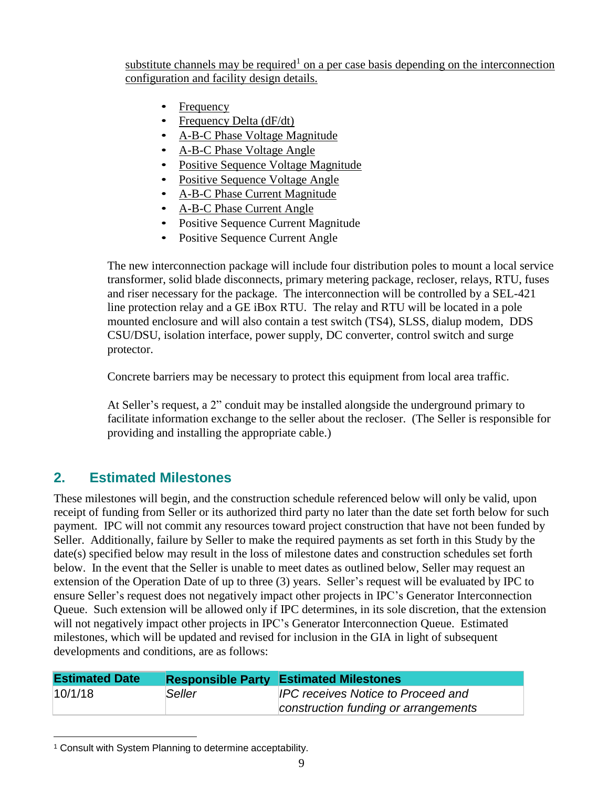substitute channels may be required<sup>1</sup> on a per case basis depending on the interconnection configuration and facility design details.

- Frequency
- Frequency Delta (dF/dt)
- A-B-C Phase Voltage Magnitude
- A-B-C Phase Voltage Angle
- Positive Sequence Voltage Magnitude
- Positive Sequence Voltage Angle
- A-B-C Phase Current Magnitude
- A-B-C Phase Current Angle
- Positive Sequence Current Magnitude
- Positive Sequence Current Angle

The new interconnection package will include four distribution poles to mount a local service transformer, solid blade disconnects, primary metering package, recloser, relays, RTU, fuses and riser necessary for the package. The interconnection will be controlled by a SEL-421 line protection relay and a GE iBox RTU. The relay and RTU will be located in a pole mounted enclosure and will also contain a test switch (TS4), SLSS, dialup modem, DDS CSU/DSU, isolation interface, power supply, DC converter, control switch and surge protector.

Concrete barriers may be necessary to protect this equipment from local area traffic.

At Seller's request, a 2" conduit may be installed alongside the underground primary to facilitate information exchange to the seller about the recloser. (The Seller is responsible for providing and installing the appropriate cable.)

## **2. Estimated Milestones**

These milestones will begin, and the construction schedule referenced below will only be valid, upon receipt of funding from Seller or its authorized third party no later than the date set forth below for such payment. IPC will not commit any resources toward project construction that have not been funded by Seller. Additionally, failure by Seller to make the required payments as set forth in this Study by the date(s) specified below may result in the loss of milestone dates and construction schedules set forth below. In the event that the Seller is unable to meet dates as outlined below, Seller may request an extension of the Operation Date of up to three (3) years. Seller's request will be evaluated by IPC to ensure Seller's request does not negatively impact other projects in IPC's Generator Interconnection Queue. Such extension will be allowed only if IPC determines, in its sole discretion, that the extension will not negatively impact other projects in IPC's Generator Interconnection Queue. Estimated milestones, which will be updated and revised for inclusion in the GIA in light of subsequent developments and conditions, are as follows:

| <b>Estimated Date</b> |  | <b>Responsible Party Estimated Milestones</b> |  |  |
|-----------------------|--|-----------------------------------------------|--|--|
| 10/1/18<br>Seller     |  | <b>IPC receives Notice to Proceed and</b>     |  |  |
|                       |  | construction funding or arrangements          |  |  |

<sup>1</sup> Consult with System Planning to determine acceptability.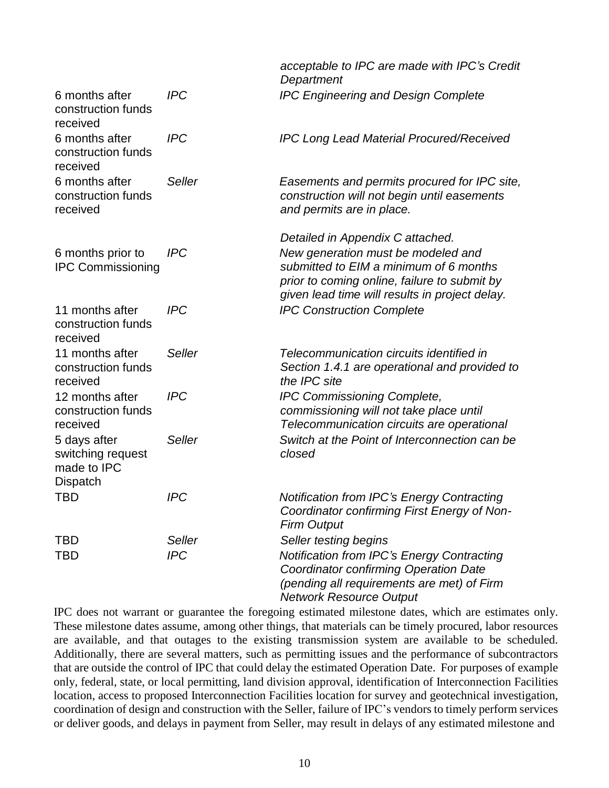|                                                              |                      | acceptable to IPC are made with IPC's Credit<br>Department                                                                                                                                                         |
|--------------------------------------------------------------|----------------------|--------------------------------------------------------------------------------------------------------------------------------------------------------------------------------------------------------------------|
| 6 months after<br>construction funds<br>received             | <b>IPC</b>           | <b>IPC Engineering and Design Complete</b>                                                                                                                                                                         |
| 6 months after<br>construction funds<br>received             | <b>IPC</b>           | <b>IPC Long Lead Material Procured/Received</b>                                                                                                                                                                    |
| 6 months after<br>construction funds<br>received             | Seller               | Easements and permits procured for IPC site,<br>construction will not begin until easements<br>and permits are in place.                                                                                           |
| 6 months prior to<br><b>IPC Commissioning</b>                | <b>IPC</b>           | Detailed in Appendix C attached.<br>New generation must be modeled and<br>submitted to EIM a minimum of 6 months<br>prior to coming online, failure to submit by<br>given lead time will results in project delay. |
| 11 months after<br>construction funds<br>received            | <b>IPC</b>           | <b>IPC Construction Complete</b>                                                                                                                                                                                   |
| 11 months after<br>construction funds<br>received            | Seller               | Telecommunication circuits identified in<br>Section 1.4.1 are operational and provided to<br>the IPC site                                                                                                          |
| 12 months after<br>construction funds<br>received            | <b>IPC</b>           | <b>IPC Commissioning Complete,</b><br>commissioning will not take place until<br>Telecommunication circuits are operational                                                                                        |
| 5 days after<br>switching request<br>made to IPC<br>Dispatch | Seller               | Switch at the Point of Interconnection can be<br>closed                                                                                                                                                            |
| <b>TBD</b>                                                   | <b>IPC</b>           | <b>Notification from IPC's Energy Contracting</b><br>Coordinator confirming First Energy of Non-<br><b>Firm Output</b>                                                                                             |
| <b>TBD</b><br>TBD                                            | Seller<br><b>IPC</b> | Seller testing begins<br><b>Notification from IPC's Energy Contracting</b><br>Coordinator confirming Operation Date<br>(pending all requirements are met) of Firm<br><b>Network Resource Output</b>                |

IPC does not warrant or guarantee the foregoing estimated milestone dates, which are estimates only. These milestone dates assume, among other things, that materials can be timely procured, labor resources are available, and that outages to the existing transmission system are available to be scheduled. Additionally, there are several matters, such as permitting issues and the performance of subcontractors that are outside the control of IPC that could delay the estimated Operation Date. For purposes of example only, federal, state, or local permitting, land division approval, identification of Interconnection Facilities location, access to proposed Interconnection Facilities location for survey and geotechnical investigation, coordination of design and construction with the Seller, failure of IPC's vendors to timely perform services or deliver goods, and delays in payment from Seller, may result in delays of any estimated milestone and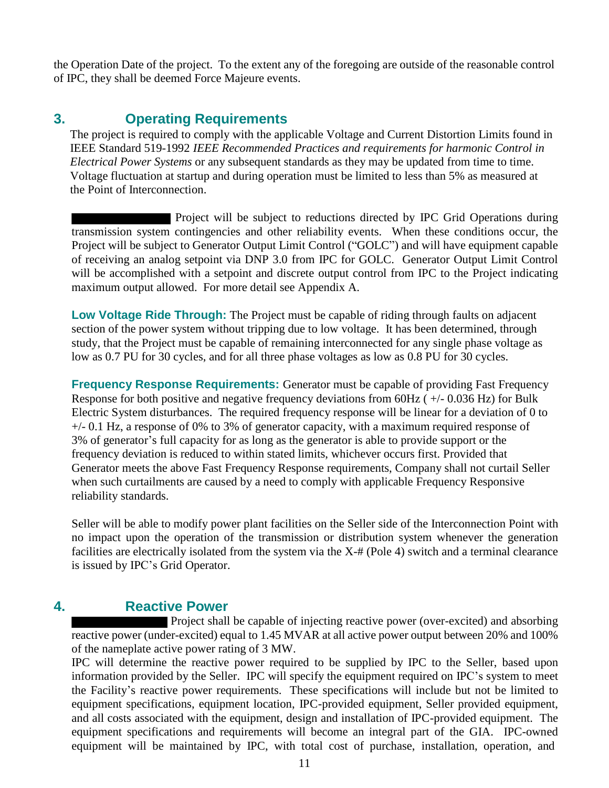the Operation Date of the project. To the extent any of the foregoing are outside of the reasonable control of IPC, they shall be deemed Force Majeure events.

## **3. Operating Requirements**

The project is required to comply with the applicable Voltage and Current Distortion Limits found in IEEE Standard 519-1992 *IEEE Recommended Practices and requirements for harmonic Control in Electrical Power Systems* or any subsequent standards as they may be updated from time to time. Voltage fluctuation at startup and during operation must be limited to less than 5% as measured at the Point of Interconnection.

Project will be subject to reductions directed by IPC Grid Operations during transmission system contingencies and other reliability events. When these conditions occur, the Project will be subject to Generator Output Limit Control ("GOLC") and will have equipment capable of receiving an analog setpoint via DNP 3.0 from IPC for GOLC. Generator Output Limit Control will be accomplished with a setpoint and discrete output control from IPC to the Project indicating maximum output allowed. For more detail see Appendix A.

**Low Voltage Ride Through:** The Project must be capable of riding through faults on adjacent section of the power system without tripping due to low voltage. It has been determined, through study, that the Project must be capable of remaining interconnected for any single phase voltage as low as 0.7 PU for 30 cycles, and for all three phase voltages as low as 0.8 PU for 30 cycles.

**Frequency Response Requirements:** Generator must be capable of providing Fast Frequency Response for both positive and negative frequency deviations from 60Hz ( +/- 0.036 Hz) for Bulk Electric System disturbances. The required frequency response will be linear for a deviation of 0 to +/- 0.1 Hz, a response of 0% to 3% of generator capacity, with a maximum required response of 3% of generator's full capacity for as long as the generator is able to provide support or the frequency deviation is reduced to within stated limits, whichever occurs first. Provided that Generator meets the above Fast Frequency Response requirements, Company shall not curtail Seller when such curtailments are caused by a need to comply with applicable Frequency Responsive reliability standards.

Seller will be able to modify power plant facilities on the Seller side of the Interconnection Point with no impact upon the operation of the transmission or distribution system whenever the generation facilities are electrically isolated from the system via the X-# (Pole 4) switch and a terminal clearance is issued by IPC's Grid Operator.

## **4. Reactive Power**

Project shall be capable of injecting reactive power (over-excited) and absorbing reactive power (under-excited) equal to 1.45 MVAR at all active power output between 20% and 100% of the nameplate active power rating of 3 MW.

IPC will determine the reactive power required to be supplied by IPC to the Seller, based upon information provided by the Seller. IPC will specify the equipment required on IPC's system to meet the Facility's reactive power requirements. These specifications will include but not be limited to equipment specifications, equipment location, IPC-provided equipment, Seller provided equipment, and all costs associated with the equipment, design and installation of IPC-provided equipment. The equipment specifications and requirements will become an integral part of the GIA. IPC-owned equipment will be maintained by IPC, with total cost of purchase, installation, operation, and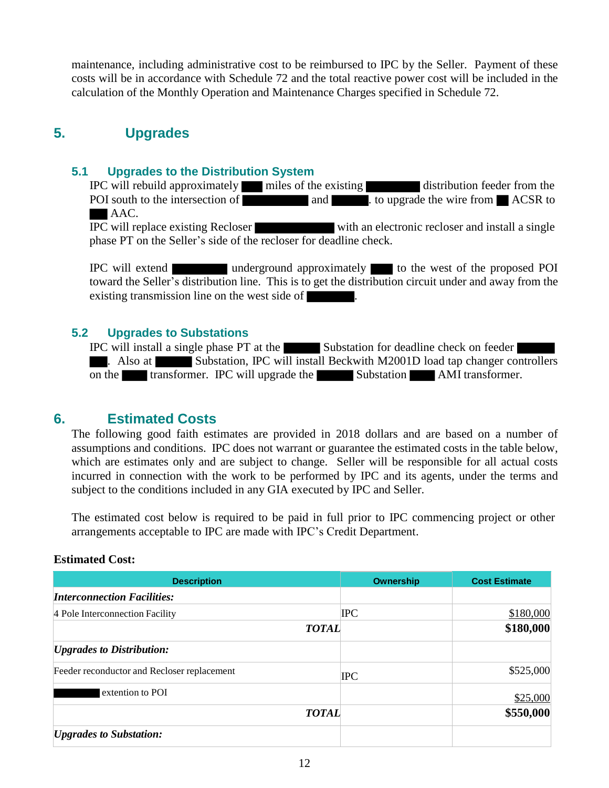maintenance, including administrative cost to be reimbursed to IPC by the Seller. Payment of these costs will be in accordance with Schedule 72 and the total reactive power cost will be included in the calculation of the Monthly Operation and Maintenance Charges specified in Schedule 72.

## **5. Upgrades**

#### **5.1 Upgrades to the Distribution System**

IPC will rebuild approximately miles of the existing distribution feeder from the POI south to the intersection of and and . to upgrade the wire from ACSR to AAC. IPC will replace existing Recloser with an electronic recloser and install a single

phase PT on the Seller's side of the recloser for deadline check.

IPC will extend underground approximately to the west of the proposed POI toward the Seller's distribution line. This is to get the distribution circuit under and away from the existing transmission line on the west side of .

#### **5.2 Upgrades to Substations**

IPC will install a single phase PT at the Substation for deadline check on feeder . Also at Substation, IPC will install Beckwith M2001D load tap changer controllers on the transformer. IPC will upgrade the Substation AMI transformer.

### **6. Estimated Costs**

The following good faith estimates are provided in 2018 dollars and are based on a number of assumptions and conditions. IPC does not warrant or guarantee the estimated costs in the table below, which are estimates only and are subject to change. Seller will be responsible for all actual costs incurred in connection with the work to be performed by IPC and its agents, under the terms and subject to the conditions included in any GIA executed by IPC and Seller.

The estimated cost below is required to be paid in full prior to IPC commencing project or other arrangements acceptable to IPC are made with IPC's Credit Department.

#### **Estimated Cost:**

| <b>Description</b>                          | <b>Ownership</b> | <b>Cost Estimate</b> |
|---------------------------------------------|------------------|----------------------|
| <b>Interconnection Facilities:</b>          |                  |                      |
| 4 Pole Interconnection Facility             | <b>IPC</b>       | \$180,000            |
| <b>TOTAL</b>                                |                  | \$180,000            |
| <b><i>Upgrades to Distribution:</i></b>     |                  |                      |
| Feeder reconductor and Recloser replacement | <b>IPC</b>       | \$525,000            |
| extention to POI                            |                  | \$25,000             |
| <b>TOTAL</b>                                |                  | \$550,000            |
| <i><b>Upgrades to Substation:</b></i>       |                  |                      |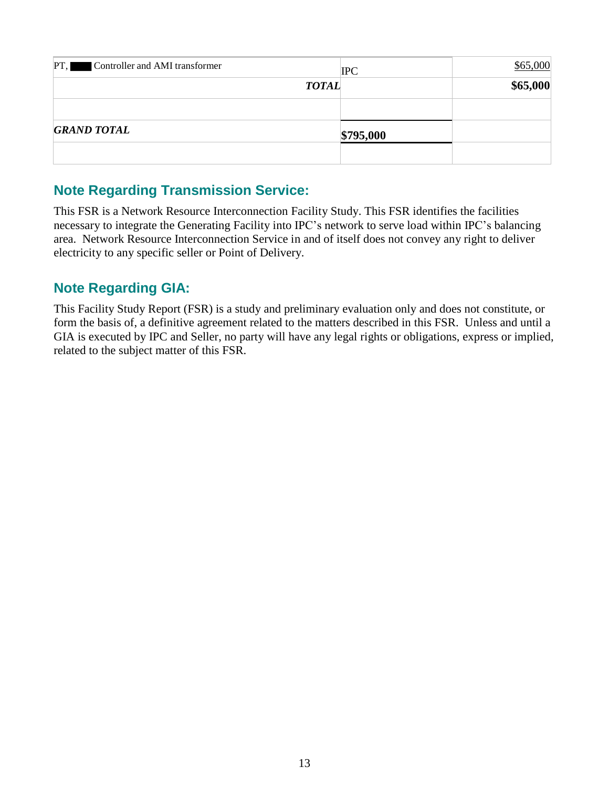| PT, Controller and AMI transformer |              | <b>IPC</b> | \$65,000 |
|------------------------------------|--------------|------------|----------|
|                                    | <b>TOTAL</b> |            | \$65,000 |
|                                    |              |            |          |
| <b>GRAND TOTAL</b>                 |              | \$795,000  |          |
|                                    |              |            |          |

## **Note Regarding Transmission Service:**

This FSR is a Network Resource Interconnection Facility Study. This FSR identifies the facilities necessary to integrate the Generating Facility into IPC's network to serve load within IPC's balancing area. Network Resource Interconnection Service in and of itself does not convey any right to deliver electricity to any specific seller or Point of Delivery.

## **Note Regarding GIA:**

This Facility Study Report (FSR) is a study and preliminary evaluation only and does not constitute, or form the basis of, a definitive agreement related to the matters described in this FSR. Unless and until a GIA is executed by IPC and Seller, no party will have any legal rights or obligations, express or implied, related to the subject matter of this FSR.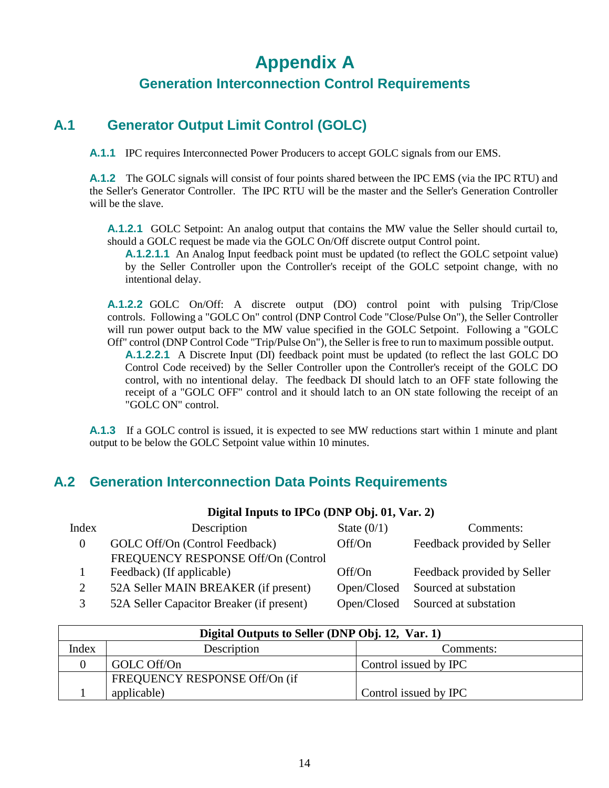# **Appendix A**

## **Generation Interconnection Control Requirements**

## **A.1 Generator Output Limit Control (GOLC)**

**A.1.1** IPC requires Interconnected Power Producers to accept GOLC signals from our EMS.

**A.1.2** The GOLC signals will consist of four points shared between the IPC EMS (via the IPC RTU) and the Seller's Generator Controller. The IPC RTU will be the master and the Seller's Generation Controller will be the slave.

**A.1.2.1** GOLC Setpoint: An analog output that contains the MW value the Seller should curtail to, should a GOLC request be made via the GOLC On/Off discrete output Control point.

**A.1.2.1.1** An Analog Input feedback point must be updated (to reflect the GOLC setpoint value) by the Seller Controller upon the Controller's receipt of the GOLC setpoint change, with no intentional delay.

**A.1.2.2** GOLC On/Off: A discrete output (DO) control point with pulsing Trip/Close controls. Following a "GOLC On" control (DNP Control Code "Close/Pulse On"), the Seller Controller will run power output back to the MW value specified in the GOLC Setpoint. Following a "GOLC Off" control (DNP Control Code "Trip/Pulse On"), the Seller is free to run to maximum possible output.

**A.1.2.2.1** A Discrete Input (DI) feedback point must be updated (to reflect the last GOLC DO Control Code received) by the Seller Controller upon the Controller's receipt of the GOLC DO control, with no intentional delay. The feedback DI should latch to an OFF state following the receipt of a "GOLC OFF" control and it should latch to an ON state following the receipt of an "GOLC ON" control.

**A.1.3** If a GOLC control is issued, it is expected to see MW reductions start within 1 minute and plant output to be below the GOLC Setpoint value within 10 minutes.

**Digital Inputs to IPCo (DNP Obj. 01, Var. 2)**

## **A.2 Generation Interconnection Data Points Requirements**

|          | $P_{\rm L}$ and $P_{\rm H}$ and $P_{\rm H}$ and $P_{\rm H}$ are $P_{\rm H}$ and $P_{\rm H}$ and $P_{\rm H}$ |             |                             |  |  |
|----------|-------------------------------------------------------------------------------------------------------------|-------------|-----------------------------|--|--|
| Index    | Description<br>State $(0/1)$                                                                                |             | Comments:                   |  |  |
| $\Omega$ | GOLC Off/On (Control Feedback)                                                                              | Off/On      | Feedback provided by Seller |  |  |
|          | FREQUENCY RESPONSE Off/On (Control                                                                          |             |                             |  |  |
|          | Feedback) (If applicable)                                                                                   | Off/On      | Feedback provided by Seller |  |  |
| 2        | 52A Seller MAIN BREAKER (if present)                                                                        | Open/Closed | Sourced at substation       |  |  |
| 3        | 52A Seller Capacitor Breaker (if present)                                                                   | Open/Closed | Sourced at substation       |  |  |

| Digital Outputs to Seller (DNP Obj. 12, Var. 1) |             |                       |  |  |  |  |
|-------------------------------------------------|-------------|-----------------------|--|--|--|--|
| Index<br>Description<br>Comments:               |             |                       |  |  |  |  |
|                                                 | GOLC Off/On | Control issued by IPC |  |  |  |  |
| FREQUENCY RESPONSE Off/On (if                   |             |                       |  |  |  |  |
|                                                 | applicable) | Control issued by IPC |  |  |  |  |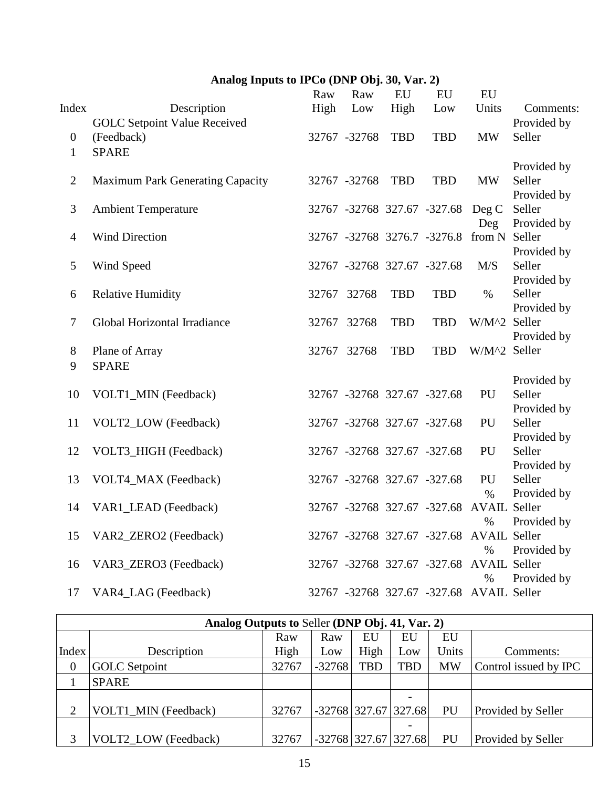## **Analog Inputs to IPCo (DNP Obj. 30, Var. 2)**

|                  |                                     | Raw   | Raw          | EU         | EU                                       | EU                  |                       |
|------------------|-------------------------------------|-------|--------------|------------|------------------------------------------|---------------------|-----------------------|
| Index            | Description                         | High  | Low          | High       | Low                                      | Units               | Comments:             |
|                  | <b>GOLC Setpoint Value Received</b> |       |              |            |                                          |                     | Provided by           |
| $\boldsymbol{0}$ | (Feedback)                          |       | 32767 -32768 | <b>TBD</b> | <b>TBD</b>                               | <b>MW</b>           | Seller                |
| $\mathbf{1}$     | <b>SPARE</b>                        |       |              |            |                                          |                     |                       |
|                  |                                     |       |              |            |                                          |                     | Provided by           |
| $\mathbf{2}$     | Maximum Park Generating Capacity    |       | 32767 -32768 | <b>TBD</b> | <b>TBD</b>                               | <b>MW</b>           | Seller                |
|                  |                                     |       |              |            |                                          |                     | Provided by           |
| $\mathfrak{Z}$   | <b>Ambient Temperature</b>          |       |              |            | 32767 -32768 327.67 -327.68              | Deg C               | Seller                |
|                  |                                     |       |              |            |                                          | Deg                 | Provided by           |
| $\overline{4}$   | <b>Wind Direction</b>               |       |              |            | 32767 -32768 3276.7 -3276.8              | from N Seller       |                       |
|                  |                                     |       |              |            |                                          |                     | Provided by           |
| 5                | Wind Speed                          |       |              |            | 32767 -32768 327.67 -327.68              | M/S                 | Seller                |
|                  |                                     |       |              |            |                                          |                     | Provided by           |
| 6                | <b>Relative Humidity</b>            | 32767 | 32768        | <b>TBD</b> | <b>TBD</b>                               | $\%$                | Seller                |
|                  |                                     |       |              |            |                                          |                     | Provided by           |
| $\tau$           | Global Horizontal Irradiance        | 32767 | 32768        | <b>TBD</b> | <b>TBD</b>                               | W/M^2 Seller        |                       |
|                  |                                     |       |              |            |                                          |                     | Provided by           |
| $8\,$            | Plane of Array                      |       | 32767 32768  | <b>TBD</b> | <b>TBD</b>                               | W/M^2 Seller        |                       |
| 9                | <b>SPARE</b>                        |       |              |            |                                          |                     |                       |
|                  |                                     |       |              |            |                                          |                     | Provided by           |
| 10               | VOLT1_MIN (Feedback)                |       |              |            | 32767 -32768 327.67 -327.68              | PU                  | Seller                |
|                  |                                     |       |              |            |                                          |                     | Provided by           |
| 11               | VOLT2_LOW (Feedback)                |       |              |            | 32767 -32768 327.67 -327.68              | PU                  | Seller                |
|                  |                                     |       |              |            |                                          |                     | Provided by<br>Seller |
| 12               | VOLT3_HIGH (Feedback)               |       |              |            | 32767 -32768 327.67 -327.68              | PU                  |                       |
| 13               | VOLT4_MAX (Feedback)                |       |              |            | 32767 -32768 327.67 -327.68              | PU                  | Provided by<br>Seller |
|                  |                                     |       |              |            |                                          | $\%$                | Provided by           |
| 14               | VAR1_LEAD (Feedback)                |       |              |            | 32767 -32768 327.67 -327.68              | <b>AVAIL Seller</b> |                       |
|                  |                                     |       |              |            |                                          | $\%$                | Provided by           |
| 15               | VAR2_ZERO2 (Feedback)               |       |              |            | 32767 -32768 327.67 -327.68 AVAIL Seller |                     |                       |
|                  |                                     |       |              |            |                                          | $\%$                | Provided by           |
| 16               | VAR3_ZERO3 (Feedback)               |       |              |            | 32767 -32768 327.67 -327.68              | <b>AVAIL Seller</b> |                       |
|                  |                                     |       |              |            |                                          | $\%$                | Provided by           |
| 17               | VAR4_LAG (Feedback)                 |       |              |            | 32767 -32768 327.67 -327.68 AVAIL Seller |                     |                       |
|                  |                                     |       |              |            |                                          |                     |                       |

| Analog Outputs to Seller (DNP Obj. 41, Var. 2) |                      |       |                        |            |                        |           |                       |  |
|------------------------------------------------|----------------------|-------|------------------------|------------|------------------------|-----------|-----------------------|--|
|                                                |                      | Raw   | Raw                    | EU         | EU                     | EU        |                       |  |
| Index                                          | Description          | High  | Low                    | High       | Low                    | Units     | Comments:             |  |
| $\overline{0}$                                 | <b>GOLC</b> Setpoint | 32767 | $-32768$               | <b>TBD</b> | <b>TBD</b>             | <b>MW</b> | Control issued by IPC |  |
|                                                | <b>SPARE</b>         |       |                        |            |                        |           |                       |  |
|                                                |                      |       |                        |            | -                      |           |                       |  |
| $\overline{2}$                                 | VOLT1 MIN (Feedback) | 32767 | $-32768$ 327.67 327.68 |            |                        | PU        | Provided by Seller    |  |
|                                                |                      |       |                        |            | -                      |           |                       |  |
|                                                | VOLT2 LOW (Feedback) | 32767 |                        |            | $-32768$ 327.67 327.68 | PU        | Provided by Seller    |  |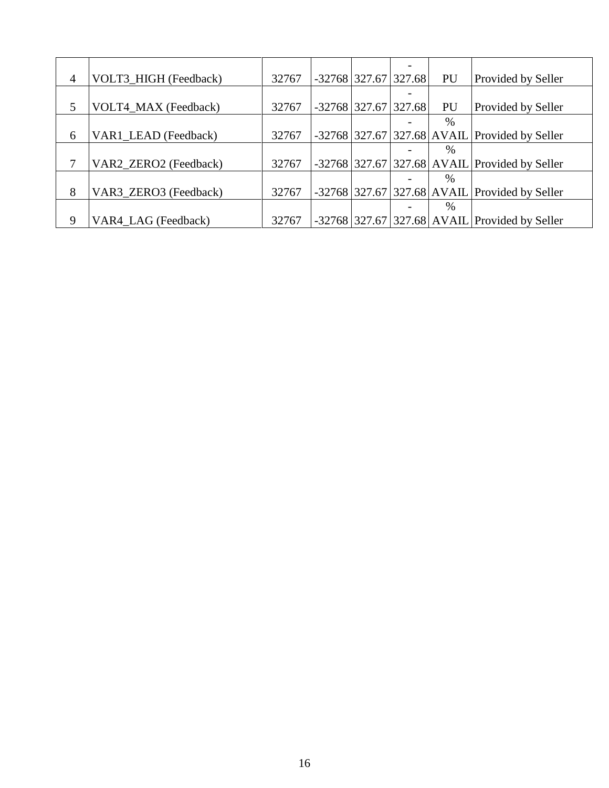| 4 | VOLT3 HIGH (Feedback) | 32767 |  | $-32768$ 327.67 327.68 | PU   | Provided by Seller                              |
|---|-----------------------|-------|--|------------------------|------|-------------------------------------------------|
|   |                       |       |  |                        |      |                                                 |
| 5 | VOLT4_MAX (Feedback)  | 32767 |  | $-32768$ 327.67 327.68 | PU   | Provided by Seller                              |
|   |                       |       |  |                        | $\%$ |                                                 |
| 6 | VAR1_LEAD (Feedback)  | 32767 |  |                        |      | $-32768$ 327.67 327.68 AVAIL Provided by Seller |
|   |                       |       |  |                        | $\%$ |                                                 |
| 7 | VAR2_ZERO2 (Feedback) | 32767 |  |                        |      | $-32768$ 327.67 327.68 AVAIL Provided by Seller |
|   |                       |       |  |                        | $\%$ |                                                 |
| 8 | VAR3_ZERO3 (Feedback) | 32767 |  |                        |      | $-32768$ 327.67 327.68 AVAIL Provided by Seller |
|   |                       |       |  |                        | $\%$ |                                                 |
| 9 | VAR4_LAG (Feedback)   | 32767 |  |                        |      | $-32768$ 327.67 327.68 AVAIL Provided by Seller |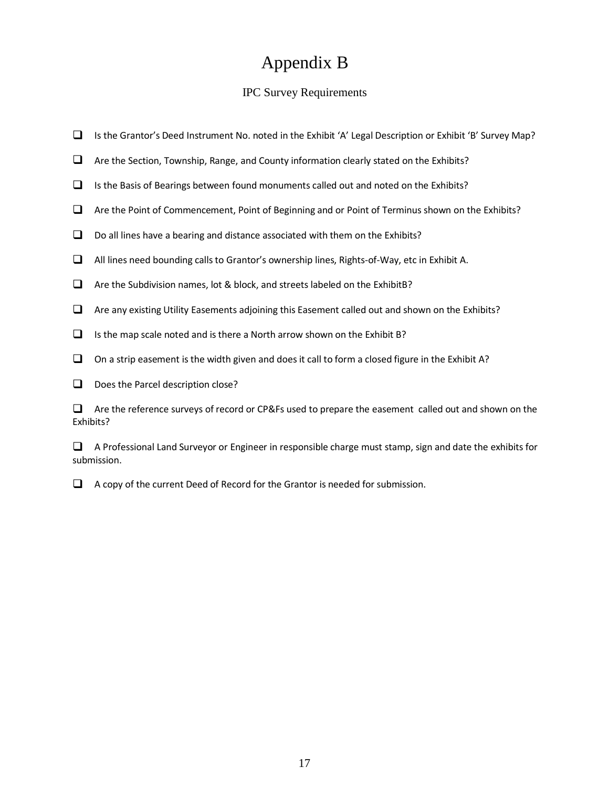## Appendix B

#### IPC Survey Requirements

- ❑ Is the Grantor's Deed Instrument No. noted in the Exhibit 'A' Legal Description or Exhibit 'B' Survey Map?
- ❑ Are the Section, Township, Range, and County information clearly stated on the Exhibits?
- ❑ Is the Basis of Bearings between found monuments called out and noted on the Exhibits?
- ❑ Are the Point of Commencement, Point of Beginning and or Point of Terminus shown on the Exhibits?
- ❑ Do all lines have a bearing and distance associated with them on the Exhibits?
- ❑ All lines need bounding callsto Grantor's ownership lines, Rights-of-Way, etc in Exhibit A.
- ❑ Are the Subdivision names, lot & block, and streets labeled on the ExhibitB?
- ❑ Are any existing Utility Easements adjoining this Easement called out and shown on the Exhibits?
- $\Box$  Is the map scale noted and is there a North arrow shown on the Exhibit B?
- $\Box$  On a strip easement is the width given and does it call to form a closed figure in the Exhibit A?
- □ Does the Parcel description close?

❑ Are the reference surveys of record or CP&Fs used to prepare the easement called out and shown on the Exhibits?

❑ A Professional Land Surveyor or Engineer in responsible charge must stamp, sign and date the exhibits for submission.

❑ A copy of the current Deed of Record for the Grantor is needed for submission.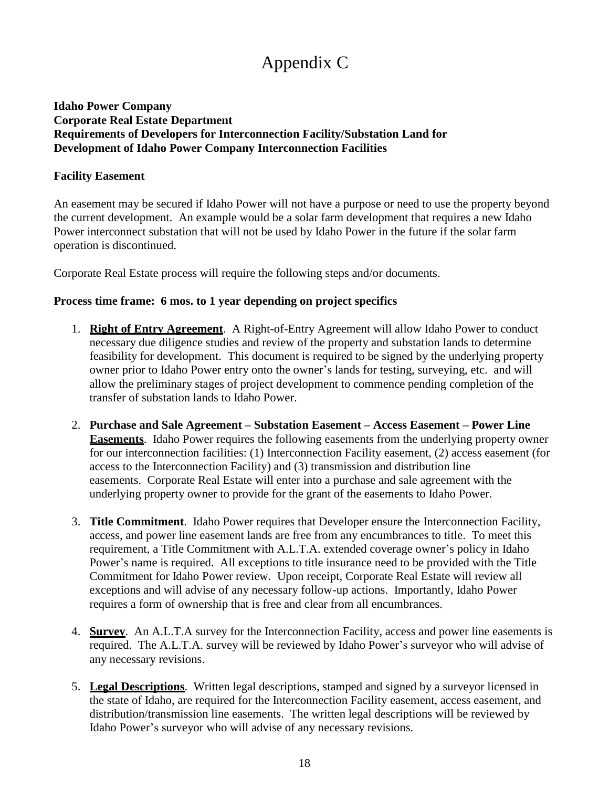# Appendix C

#### **Idaho Power Company Corporate Real Estate Department Requirements of Developers for Interconnection Facility/Substation Land for Development of Idaho Power Company Interconnection Facilities**

#### **Facility Easement**

An easement may be secured if Idaho Power will not have a purpose or need to use the property beyond the current development. An example would be a solar farm development that requires a new Idaho Power interconnect substation that will not be used by Idaho Power in the future if the solar farm operation is discontinued.

Corporate Real Estate process will require the following steps and/or documents.

#### **Process time frame: 6 mos. to 1 year depending on project specifics**

- 1. **Right of Entry Agreement**. A Right-of-Entry Agreement will allow Idaho Power to conduct necessary due diligence studies and review of the property and substation lands to determine feasibility for development. This document is required to be signed by the underlying property owner prior to Idaho Power entry onto the owner's lands for testing, surveying, etc. and will allow the preliminary stages of project development to commence pending completion of the transfer of substation lands to Idaho Power.
- 2. **Purchase and Sale Agreement – Substation Easement – Access Easement – Power Line Easements**. Idaho Power requires the following easements from the underlying property owner for our interconnection facilities: (1) Interconnection Facility easement, (2) access easement (for access to the Interconnection Facility) and (3) transmission and distribution line easements. Corporate Real Estate will enter into a purchase and sale agreement with the underlying property owner to provide for the grant of the easements to Idaho Power.
- 3. **Title Commitment**. Idaho Power requires that Developer ensure the Interconnection Facility, access, and power line easement lands are free from any encumbrances to title. To meet this requirement, a Title Commitment with A.L.T.A. extended coverage owner's policy in Idaho Power's name is required. All exceptions to title insurance need to be provided with the Title Commitment for Idaho Power review. Upon receipt, Corporate Real Estate will review all exceptions and will advise of any necessary follow-up actions. Importantly, Idaho Power requires a form of ownership that is free and clear from all encumbrances.
- 4. **Survey**. An A.L.T.A survey for the Interconnection Facility, access and power line easements is required. The A.L.T.A. survey will be reviewed by Idaho Power's surveyor who will advise of any necessary revisions.
- 5. **Legal Descriptions**. Written legal descriptions, stamped and signed by a surveyor licensed in the state of Idaho, are required for the Interconnection Facility easement, access easement, and distribution/transmission line easements. The written legal descriptions will be reviewed by Idaho Power's surveyor who will advise of any necessary revisions.